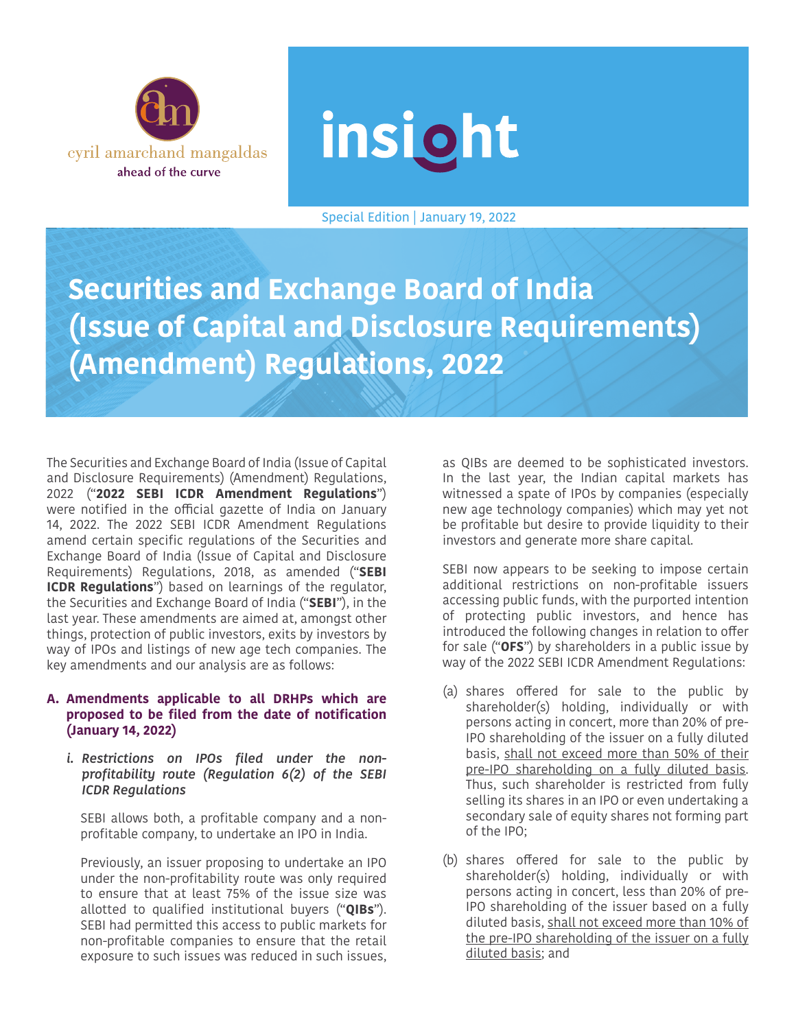

**insight** 

Special Edition | January 19, 2022

**Securities and Exchange Board of India (Issue of Capital and Disclosure Requirements) (Amendment) Regulations, 2022** 

The Securities and Exchange Board of India (Issue of Capital and Disclosure Requirements) (Amendment) Regulations, 2022 ("**2022 SEBI ICDR Amendment Regulations**") were notified in the official gazette of India on January 14, 2022. The 2022 SEBI ICDR Amendment Regulations amend certain specific regulations of the Securities and Exchange Board of India (Issue of Capital and Disclosure Requirements) Regulations, 2018, as amended ("**SEBI ICDR Regulations**") based on learnings of the regulator, the Securities and Exchange Board of India ("**SEBI**"), in the last year. These amendments are aimed at, amongst other things, protection of public investors, exits by investors by way of IPOs and listings of new age tech companies. The key amendments and our analysis are as follows:

## **A. Amendments applicable to all DRHPs which are proposed to be filed from the date of notification (January 14, 2022)**

*i. Restrictions on IPOs filed under the nonprofitability route (Regulation 6(2) of the SEBI ICDR Regulations*

SEBI allows both, a profitable company and a nonprofitable company, to undertake an IPO in India.

Previously, an issuer proposing to undertake an IPO under the non-profitability route was only required to ensure that at least 75% of the issue size was allotted to qualified institutional buyers ("**QIBs**"). SEBI had permitted this access to public markets for non-profitable companies to ensure that the retail exposure to such issues was reduced in such issues,

as QIBs are deemed to be sophisticated investors. In the last year, the Indian capital markets has witnessed a spate of IPOs by companies (especially new age technology companies) which may yet not be profitable but desire to provide liquidity to their investors and generate more share capital.

SEBI now appears to be seeking to impose certain additional restrictions on non-profitable issuers accessing public funds, with the purported intention of protecting public investors, and hence has introduced the following changes in relation to offer for sale ("**OFS**") by shareholders in a public issue by way of the 2022 SEBI ICDR Amendment Regulations:

- (a) shares offered for sale to the public by shareholder(s) holding, individually or with persons acting in concert, more than 20% of pre-IPO shareholding of the issuer on a fully diluted basis, shall not exceed more than 50% of their pre-IPO shareholding on a fully diluted basis. Thus, such shareholder is restricted from fully selling its shares in an IPO or even undertaking a secondary sale of equity shares not forming part of the IPO;
- (b) shares offered for sale to the public by shareholder(s) holding, individually or with persons acting in concert, less than 20% of pre-IPO shareholding of the issuer based on a fully diluted basis, shall not exceed more than 10% of the pre-IPO shareholding of the issuer on a fully diluted basis; and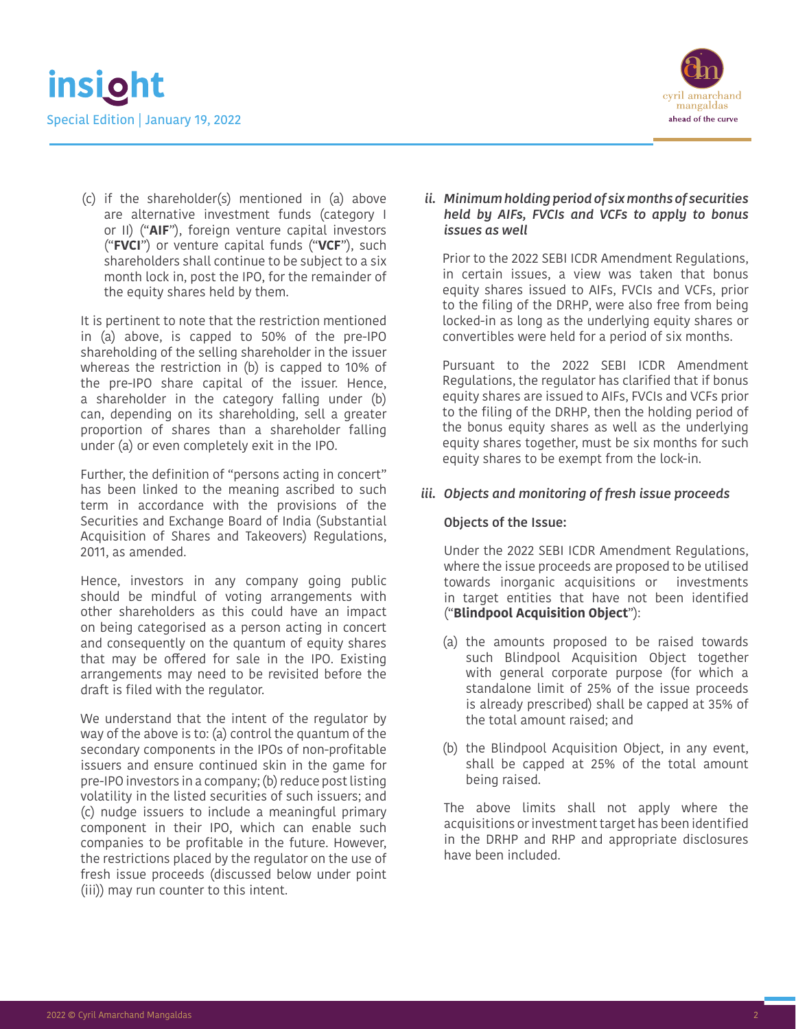



(c) if the shareholder(s) mentioned in (a) above are alternative investment funds (category I or II) ("**AIF**"), foreign venture capital investors ("**FVCI**") or venture capital funds ("**VCF**"), such shareholders shall continue to be subject to a six month lock in, post the IPO, for the remainder of the equity shares held by them.

It is pertinent to note that the restriction mentioned in (a) above, is capped to 50% of the pre-IPO shareholding of the selling shareholder in the issuer whereas the restriction in (b) is capped to 10% of the pre-IPO share capital of the issuer. Hence, a shareholder in the category falling under (b) can, depending on its shareholding, sell a greater proportion of shares than a shareholder falling under (a) or even completely exit in the IPO.

Further, the definition of "persons acting in concert" has been linked to the meaning ascribed to such term in accordance with the provisions of the Securities and Exchange Board of India (Substantial Acquisition of Shares and Takeovers) Regulations, 2011, as amended.

Hence, investors in any company going public should be mindful of voting arrangements with other shareholders as this could have an impact on being categorised as a person acting in concert and consequently on the quantum of equity shares that may be offered for sale in the IPO. Existing arrangements may need to be revisited before the draft is filed with the regulator.

We understand that the intent of the regulator by way of the above is to: (a) control the quantum of the secondary components in the IPOs of non-profitable issuers and ensure continued skin in the game for pre-IPO investors in a company; (b) reduce post listing volatility in the listed securities of such issuers; and (c) nudge issuers to include a meaningful primary component in their IPO, which can enable such companies to be profitable in the future. However, the restrictions placed by the regulator on the use of fresh issue proceeds (discussed below under point (iii)) may run counter to this intent.

## *ii. Minimum holding period of six months of securities held by AIFs, FVCIs and VCFs to apply to bonus issues as well*

Prior to the 2022 SEBI ICDR Amendment Regulations, in certain issues, a view was taken that bonus equity shares issued to AIFs, FVCIs and VCFs, prior to the filing of the DRHP, were also free from being locked-in as long as the underlying equity shares or convertibles were held for a period of six months.

Pursuant to the 2022 SEBI ICDR Amendment Regulations, the regulator has clarified that if bonus equity shares are issued to AIFs, FVCIs and VCFs prior to the filing of the DRHP, then the holding period of the bonus equity shares as well as the underlying equity shares together, must be six months for such equity shares to be exempt from the lock-in.

## *iii. Objects and monitoring of fresh issue proceeds*

## **Objects of the Issue:**

Under the 2022 SEBI ICDR Amendment Regulations, where the issue proceeds are proposed to be utilised towards inorganic acquisitions or investments in target entities that have not been identified ("**Blindpool Acquisition Object**"):

- (a) the amounts proposed to be raised towards such Blindpool Acquisition Object together with general corporate purpose (for which a standalone limit of 25% of the issue proceeds is already prescribed) shall be capped at 35% of the total amount raised; and
- (b) the Blindpool Acquisition Object, in any event, shall be capped at 25% of the total amount being raised.

The above limits shall not apply where the acquisitions or investment target has been identified in the DRHP and RHP and appropriate disclosures have been included.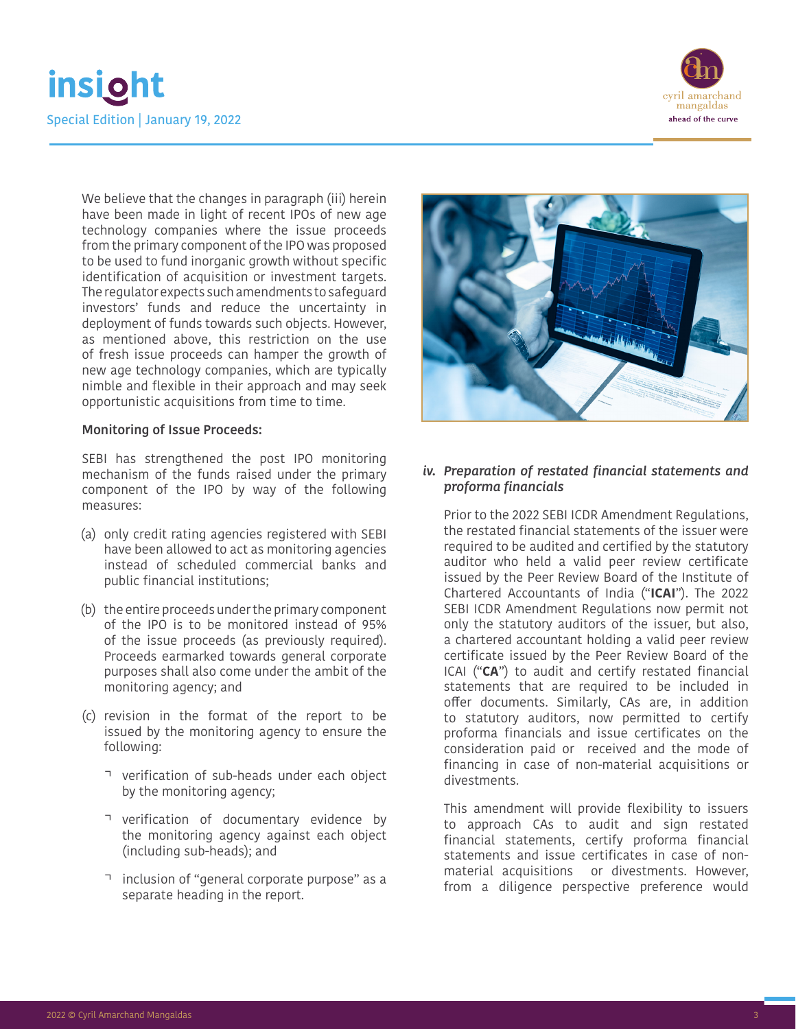



We believe that the changes in paragraph (iii) herein have been made in light of recent IPOs of new age technology companies where the issue proceeds from the primary component of the IPO was proposed to be used to fund inorganic growth without specific identification of acquisition or investment targets. The regulator expects such amendments to safeguard investors' funds and reduce the uncertainty in deployment of funds towards such objects. However, as mentioned above, this restriction on the use of fresh issue proceeds can hamper the growth of new age technology companies, which are typically nimble and flexible in their approach and may seek opportunistic acquisitions from time to time.

## **Monitoring of Issue Proceeds:**

SEBI has strengthened the post IPO monitoring mechanism of the funds raised under the primary component of the IPO by way of the following measures:

- (a) only credit rating agencies registered with SEBI have been allowed to act as monitoring agencies instead of scheduled commercial banks and public financial institutions;
- (b) the entire proceeds under the primary component of the IPO is to be monitored instead of 95% of the issue proceeds (as previously required). Proceeds earmarked towards general corporate purposes shall also come under the ambit of the monitoring agency; and
- (c) revision in the format of the report to be issued by the monitoring agency to ensure the following:
	- verification of sub-heads under each object by the monitoring agency;
	- verification of documentary evidence by the monitoring agency against each object (including sub-heads); and
	- inclusion of "general corporate purpose" as a separate heading in the report.



## *iv. Preparation of restated financial statements and proforma financials*

Prior to the 2022 SEBI ICDR Amendment Regulations, the restated financial statements of the issuer were required to be audited and certified by the statutory auditor who held a valid peer review certificate issued by the Peer Review Board of the Institute of Chartered Accountants of India ("**ICAI**"). The 2022 SEBI ICDR Amendment Regulations now permit not only the statutory auditors of the issuer, but also, a chartered accountant holding a valid peer review certificate issued by the Peer Review Board of the ICAI ("**CA**") to audit and certify restated financial statements that are required to be included in offer documents. Similarly, CAs are, in addition to statutory auditors, now permitted to certify proforma financials and issue certificates on the consideration paid or received and the mode of financing in case of non-material acquisitions or divestments.

This amendment will provide flexibility to issuers to approach CAs to audit and sign restated financial statements, certify proforma financial statements and issue certificates in case of nonmaterial acquisitions or divestments. However, from a diligence perspective preference would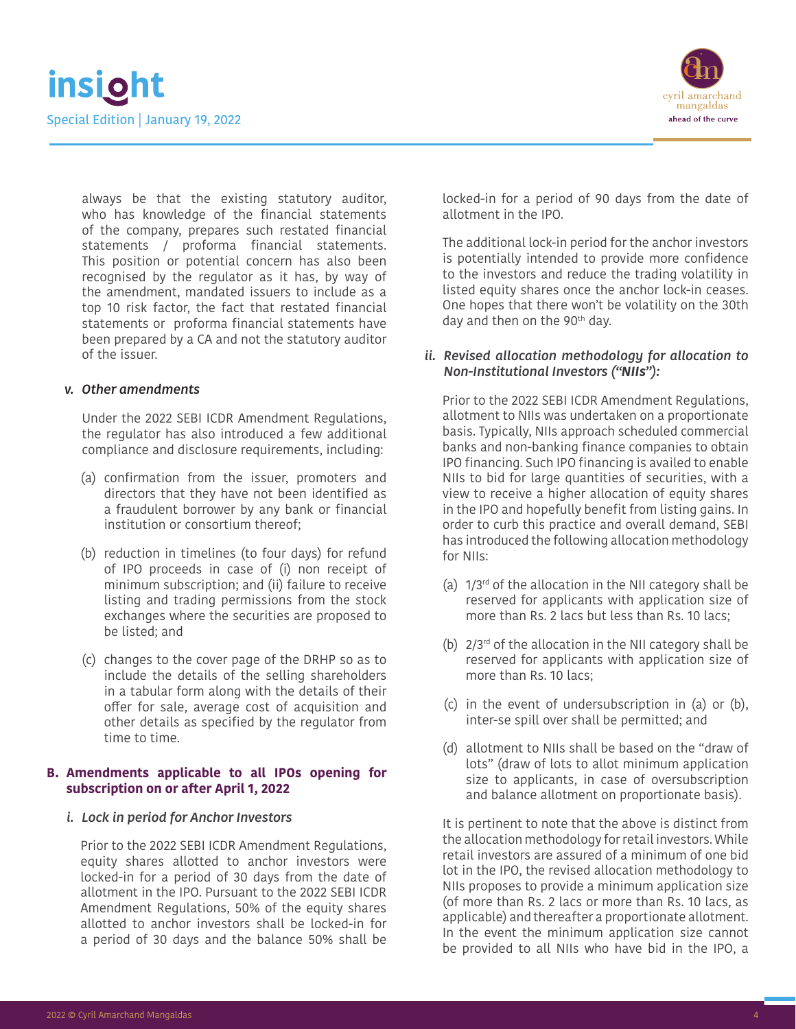

always be that the existing statutory auditor, who has knowledge of the financial statements of the company, prepares such restated financial statements / proforma financial statements. This position or potential concern has also been recognised by the regulator as it has, by way of the amendment, mandated issuers to include as a top 10 risk factor, the fact that restated financial statements or proforma financial statements have been prepared by a CA and not the statutory auditor of the issuer.

## *v. Other amendments*

Under the 2022 SEBI ICDR Amendment Regulations, the regulator has also introduced a few additional compliance and disclosure requirements, including:

- (a) confirmation from the issuer, promoters and directors that they have not been identified as a fraudulent borrower by any bank or financial institution or consortium thereof;
- (b) reduction in timelines (to four days) for refund of IPO proceeds in case of (i) non receipt of minimum subscription; and (ii) failure to receive listing and trading permissions from the stock exchanges where the securities are proposed to be listed; and
- (c) changes to the cover page of the DRHP so as to include the details of the selling shareholders in a tabular form along with the details of their offer for sale, average cost of acquisition and other details as specified by the regulator from time to time.

## **B. Amendments applicable to all IPOs opening for subscription on or after April 1, 2022**

#### *i. Lock in period for Anchor Investors*

Prior to the 2022 SEBI ICDR Amendment Regulations, equity shares allotted to anchor investors were locked-in for a period of 30 days from the date of allotment in the IPO. Pursuant to the 2022 SEBI ICDR Amendment Regulations, 50% of the equity shares allotted to anchor investors shall be locked-in for a period of 30 days and the balance 50% shall be locked-in for a period of 90 days from the date of allotment in the IPO.

The additional lock-in period for the anchor investors is potentially intended to provide more confidence to the investors and reduce the trading volatility in listed equity shares once the anchor lock-in ceases. One hopes that there won't be volatility on the 30th day and then on the 90<sup>th</sup> day.

## *ii. Revised allocation methodology for allocation to Non-Institutional Investors ("NIIs"):*

Prior to the 2022 SEBI ICDR Amendment Regulations, allotment to NIIs was undertaken on a proportionate basis. Typically, NIIs approach scheduled commercial banks and non-banking finance companies to obtain IPO financing. Such IPO financing is availed to enable NIIs to bid for large quantities of securities, with a view to receive a higher allocation of equity shares in the IPO and hopefully benefit from listing gains. In order to curb this practice and overall demand, SEBI has introduced the following allocation methodology for NIIs:

- (a) 1/3rd of the allocation in the NII category shall be reserved for applicants with application size of more than Rs. 2 lacs but less than Rs. 10 lacs;
- (b) 2/3rd of the allocation in the NII category shall be reserved for applicants with application size of more than Rs. 10 lacs;
- (c) in the event of undersubscription in (a) or (b), inter-se spill over shall be permitted; and
- (d) allotment to NIIs shall be based on the "draw of lots" (draw of lots to allot minimum application size to applicants, in case of oversubscription and balance allotment on proportionate basis).

It is pertinent to note that the above is distinct from the allocation methodology for retail investors. While retail investors are assured of a minimum of one bid lot in the IPO, the revised allocation methodology to NIIs proposes to provide a minimum application size (of more than Rs. 2 lacs or more than Rs. 10 lacs, as applicable) and thereafter a proportionate allotment. In the event the minimum application size cannot be provided to all NIIs who have bid in the IPO, a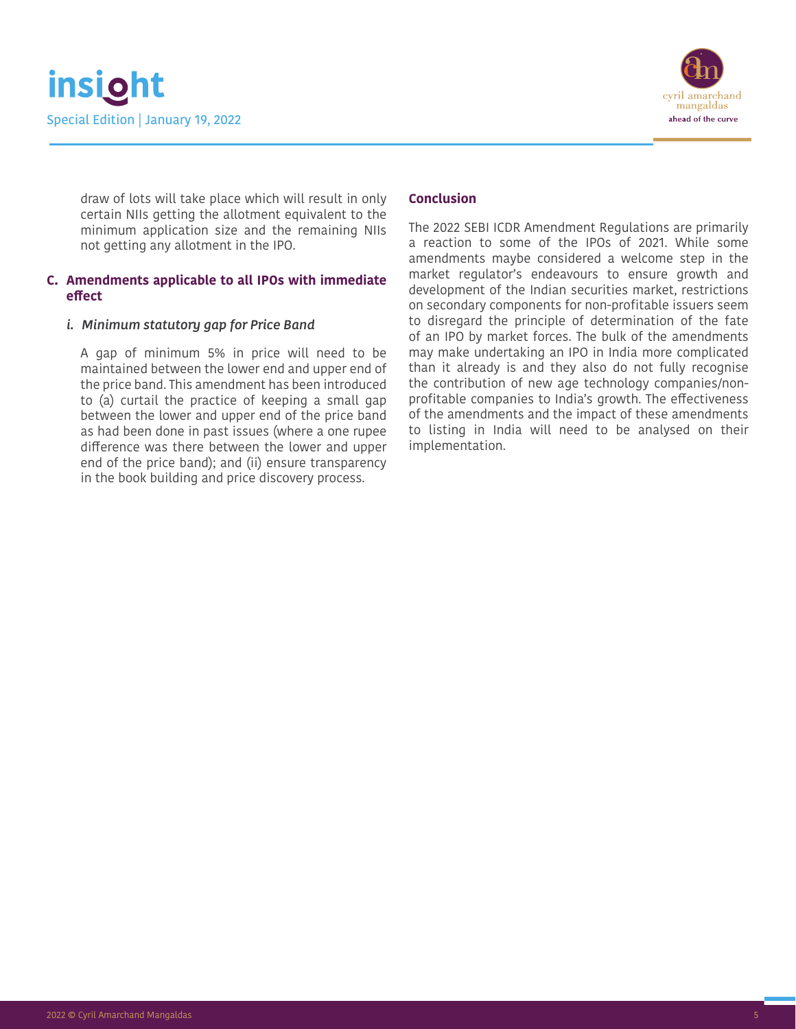

draw of lots will take place which will result in only certain NIIs getting the allotment equivalent to the minimum application size and the remaining NIIs not getting any allotment in the IPO.

## **C. Amendments applicable to all IPOs with immediate effect**

## *i. Minimum statutory gap for Price Band*

A gap of minimum 5% in price will need to be maintained between the lower end and upper end of the price band. This amendment has been introduced to (a) curtail the practice of keeping a small gap between the lower and upper end of the price band as had been done in past issues (where a one rupee difference was there between the lower and upper end of the price band); and (ii) ensure transparency in the book building and price discovery process.

## **Conclusion**

The 2022 SEBI ICDR Amendment Regulations are primarily a reaction to some of the IPOs of 2021. While some amendments maybe considered a welcome step in the market regulator's endeavours to ensure growth and development of the Indian securities market, restrictions on secondary components for non-profitable issuers seem to disregard the principle of determination of the fate of an IPO by market forces. The bulk of the amendments may make undertaking an IPO in India more complicated than it already is and they also do not fully recognise the contribution of new age technology companies/nonprofitable companies to India's growth. The effectiveness of the amendments and the impact of these amendments to listing in India will need to be analysed on their implementation.